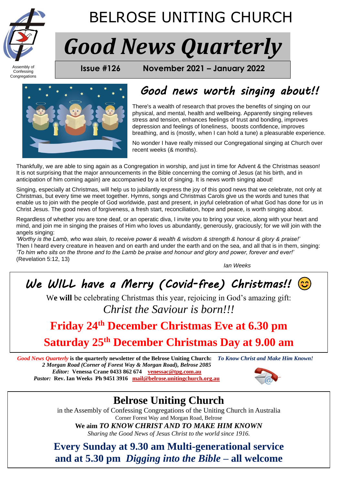

Confessing Congregations

## BELROSE UNITING CHURCH

# *Good News Quarterly*

**FROM BELROSE UNITED USSUE #126 November 2021 – January 2022** 



## *Good news worth singing about!!*

There's a wealth of research that proves the benefits of singing on our physical, and mental, health and wellbeing. Apparently singing relieves stress and tension, enhances feelings of trust and bonding, improves depression and feelings of loneliness, boosts confidence, improves breathing, and is (mostly, when I can hold a tune) a pleasurable experience.

No wonder I have really missed our Congregational singing at Church over recent weeks (& months).

Thankfully, we are able to sing again as a Congregation in worship, and just in time for Advent & the Christmas season! It is not surprising that the major announcements in the Bible concerning the coming of Jesus (at his birth, and in anticipation of him coming again) are accompanied by a lot of singing. It is news worth singing about!

Singing, especially at Christmas, will help us to jubilantly express the joy of this good news that we celebrate, not only at Christmas, but every time we meet together. Hymns, songs and Christmas Carols give us the words and tunes that enable us to join with the people of God worldwide, past and present, in joyful celebration of what God has done for us in Christ Jesus. The good news of forgiveness, a fresh start, reconciliation, hope and peace, is worth singing about.

Regardless of whether you are tone deaf, or an operatic diva, I invite you to bring your voice, along with your heart and mind, and join me in singing the praises of Him who loves us abundantly, generously, graciously; for we will join with the angels singing:

*'Worthy is the Lamb, who was slain, to receive power & wealth & wisdom & strength & honour & glory & praise!'* Then I heard every creature in heaven and on earth and under the earth and on the sea, and all that is in them, singing: *'To him who sits on the throne and to the Lamb be praise and honour and glory and power, forever and ever!'*  (Revelation 5:12, 13)

*Ian Weeks*

*We WILL have a Merry (Covid-free) Christmas!!* 

We will be celebrating Christmas this year, rejoicing in God's amazing gift: *Christ the Saviour is born!!!*

## **Friday 24th December Christmas Eve at 6.30 pm**

## **Saturday 25th December Christmas Day at 9.00 am**

*Good News Quarterly* **is the quarterly newsletter of the Belrose Uniting Church:** *To Know Christ and Make Him Known! 2 Morgan Road (Corner of Forest Way & Morgan Road), Belrose 2085 Editor:* **Venessa Crane 0433 862 674****[venessac@tpg.com.au](mailto:venessac@tpg.com.au)** *Pastor:* **Rev. Ian Weeks Ph 9451 3916****[mail@belrose.unitingchurch.org.au](mailto:mail@belrose.unitingchurch.org.au)**



## **Belrose Uniting Church**

in the Assembly of Confessing Congregations of the Uniting Church in Australia Corner Forest Way and Morgan Road, Belrose

**We aim** *TO KNOW CHRIST AND TO MAKE HIM KNOWN*

*Sharing the Good News of Jesus Christ to the world since 1916.*

**Every Sunday at 9.30 am Multi-generational service and at 5.30 pm** *Digging into the Bible* **– all welcome**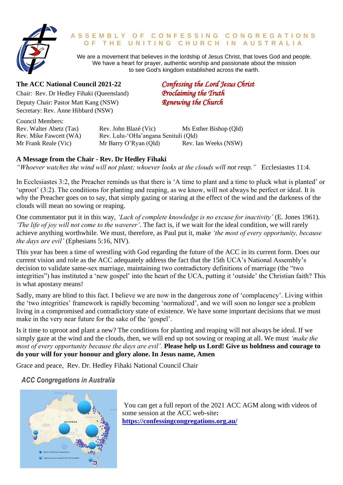

#### **A S S E M B L Y O F C O N F E S S I N G C O N G R E G A T I O N S O F T H E U N I T I N G C H U R C H I N A U S T R A L I A**

We are a movement that believes in the lordship of Jesus Christ, that loves God and people. We have a heart for prayer, authentic worship and passionate about the mission to see God's kingdom established across the earth.

#### **The ACC National Council 2021-22** *Confessing the Lord Jesus Christ*

Chair: Rev. Dr Hedley Fihaki (Queensland) *Proclaiming the Truth*<br>
Deputy Chair: Pastor Matt Kang (NSW) *Renewing the Church* Deputy Chair: Pastor Matt Kang (NSW) Secretary: Rev. Anne Hibbard (NSW)

Council Members:

Rev. Walter Abetz (Tas) Rev. John Blazé (Vic) Ms Esther Bishop (Qld) Rev. Mike Fawcett (WA) Rev. Lulu-'OHa'angana Senituli (Old) Mr Frank Reale (Vic) Mr Barry O'Ryan (Old) Rev. Ian Weeks (NSW)

#### **A Message from the Chair - Rev. Dr Hedley Fihaki**

*"Whoever watches the wind will not plant; whoever looks at the clouds will not reap."* Ecclesiastes 11:4.

In Ecclesiastes 3:2, the Preacher reminds us that there is 'A time to plant and a time to pluck what is planted' or 'uproot' (3:2). The conditions for planting and reaping, as we know, will not always be perfect or ideal. It is why the Preacher goes on to say, that simply gazing or staring at the effect of the wind and the darkness of the clouds will mean no sowing or reaping.

One commentator put it in this way, *'Lack of complete knowledge is no excuse for inactivity'* (E. Jones 1961). *'The life of joy will not come to the waverer'*. The fact is, if we wait for the ideal condition, we will rarely achieve anything worthwhile. We must, therefore, as Paul put it, make *'the most of every opportunity, because the days are evil'* (Ephesians 5:16, NIV).

This year has been a time of wrestling with God regarding the future of the ACC in its current form. Does our current vision and role as the ACC adequately address the fact that the 15th UCA's National Assembly's decision to validate same-sex marriage, maintaining two contradictory definitions of marriage (the "two integrities") has instituted a 'new gospel' into the heart of the UCA, putting it 'outside' the Christian faith? This is what apostasy means!

Sadly, many are blind to this fact. I believe we are now in the dangerous zone of 'complacency'. Living within the 'two integrities' framework is rapidly becoming 'normalized', and we will soon no longer see a problem living in a compromised and contradictory state of existence. We have some important decisions that we must make in the very near future for the sake of the 'gospel'.

Is it time to uproot and plant a new? The conditions for planting and reaping will not always be ideal. If we simply gaze at the wind and the clouds, then, we will end up not sowing or reaping at all. We must *'make the most of every opportunity because the days are evil'*. **Please help us Lord! Give us boldness and courage to do your will for your honour and glory alone. In Jesus name, Amen**

Grace and peace, Rev. Dr. Hedley Fihaki National Council Chair

#### *ACC Congregations in Australia*



You can get a full report of the 2021 ACC AGM along with videos of some session at the ACC web-site**: <https://confessingcongregations.org.au/>**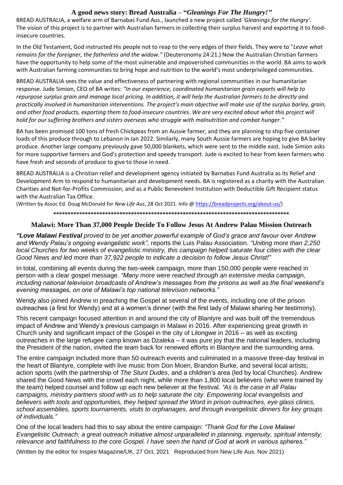#### **A good news story: Bread Australia – "***Gleanings For The Hungry!"*

BREAD AUSTRALIA, a welfare arm of Barnabas Fund Aus., launched a new project called *'Gleanings for the Hungry'.* The vision of this project is to partner with Australian farmers in collecting their surplus harvest and exporting it to foodinsecure countries.

In the Old Testament, God instructed His people not to reap to the very edges of their fields. They were to "*Leave what remains for the foreigner, the fatherless and the widow."* (Deuteronomy 24:21.) Now the Australian Christian farmers have the opportunity to help some of the most vulnerable and impoverished communities in the world. BA aims to work with Australian farming communities to bring hope and nutrition to the world's most underprivileged communities.

BREAD AUSTRALIA sees the value and effectiveness of partnering with regional communities in our humanitarian response. Jude Simion, CEO of BA writes: *"In our experience, coordinated humanitarian grain exports will help to repurpose surplus grain and manage local pricing. In addition, it will help the Australian farmers to be directly and practically involved in humanitarian interventions. The project's main objective will make use of the surplus barley, grain, and other food products, exporting them to food-insecure countries. We are very excited about what this project will hold for our suffering brothers and sisters overseas who struggle with malnutrition and combat hunger."* 

BA has been promised 100 tons of fresh Chickpeas from an Aussie farmer, and they are planning to ship five container loads of this produce through to Lebanon in Jan 2022. Similarly, many South Aussie farmers are hoping to give BA barley produce. Another large company previously gave 50,000 blankets, which were sent to the middle east. Jude Simion asks for more supportive farmers and God's protection and speedy transport. Jude is excited to hear from keen farmers who have fresh and seconds of produce to give to those in need.

BREAD AUSTRALIA is a Christian relief and development agency initiated by Barnabas Fund Australia as its Relief and Development Arm to respond to humanitarian and development needs. BA is registered as a charity with the Australian Charities and Not-for-Profits Commission, and as a Public Benevolent Institution with Deductible Gift Recipient status with the Australian Tax Office.

(Written by Assoc Ed. Doug McDonald for *New Life Aus*, 28 Oct 2021. Info [@ https://breadprojects.org/about-us/\)](https://breadprojects.org/about-us/)

**\*\*\*\*\*\*\*\*\*\*\*\*\*\*\*\*\*\*\*\*\*\*\*\*\*\*\*\*\*\*\*\*\*\*\*\*\*\*\*\*\*\*\*\*\*\*\*\*\*\*\*\*\*\*\*\*\*\*\*\*\*\*\*\*\*\*\*\*\*\*\*\*\*\*\*\*\*\*\*\*\*\*** 

#### **Malawi: More Than 37,000 People Decide To Follow Jesus At Andrew Palau Mission Outreach**

*"Love Malawi Festival proved to be yet another powerful example of God's grace and favour over Andrew and Wendy Palau's ongoing evangelistic work",* reports the Luis Palau Association. *"Uniting more than 2,250 local Churches for two weeks of evangelistic ministry, this campaign helped saturate four cities with the clear Good News and led more than 37,922 people to indicate a decision to follow Jesus Christ!"*

In total, combining all events during the two-week campaign, more than 150,000 people were reached in person with a clear gospel message. *"Many more were reached through an extensive media campaign, including national television broadcasts of Andrew's messages from the prisons as well as the final weekend's evening messages, on one of Malawi's top national television networks."*

Wendy also joined Andrew in preaching the Gospel at several of the events, including one of the prison outreaches (a first for Wendy) and at a women's dinner (with the first lady of Malawi sharing her testimony).

This recent campaign focused attention in and around the city of Blantyre and was built off the tremendous impact of Andrew and Wendy's previous campaign in Malawi in 2016. After experiencing great growth in Church unity and significant impact of the Gospel in the city of Lilongwe in 2016 – as well as exciting outreaches in the large refugee camp known as Dzaleka – it was pure joy that the national leaders, including the President of the nation, invited the team back for renewed efforts in Blantyre and the surrounding area.

The entire campaign included more than 50 outreach events and culminated in a massive three-day festival in the heart of Blantyre, complete with live music from Don Moen, Brandon Burke, and several local artists; action sports (with the partnership of *The Stunt Dudes*, and a children's area (led by local Churches). Andrew shared the Good News with the crowd each night, while more than 1,800 local believers (who were trained by the team) helped counsel and follow up each new believer at the festival. *"As is the case in all Palau campaigns, ministry partners stood with us to help saturate the city. Empowering local evangelists and believers with tools and opportunities, they helped spread the Word in prison outreaches, eye glass clinics, school assemblies, sports tournaments, visits to orphanages, and through evangelistic dinners for key groups of individuals."*

One of the local leaders had this to say about the entire campaign: *"Thank God for the Love Malawi Evangelistic Outreach; a great outreach initiative almost unparalleled in planning, ingenuity, spiritual intensity, relevance and faithfulness to the core Gospel. I have seen the hand of God at work in various spheres."*

(Written by the editor for Inspire Magazine/UK, 27 Oct, 2021 Reproduced from New Life Aus. Nov 2021)